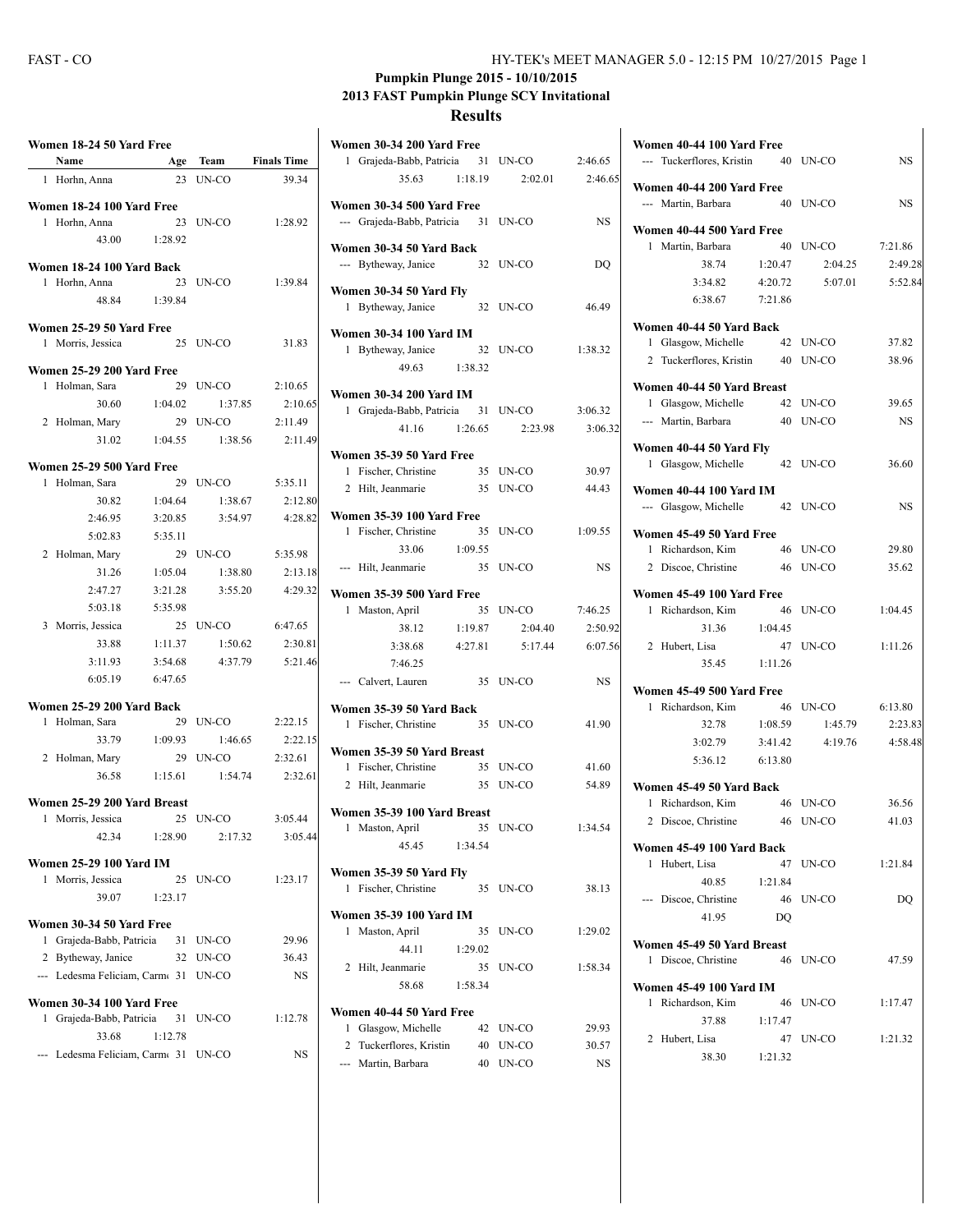## **Pumpkin Plunge 2015 - 10/10/2015 2013 FAST Pumpkin Plunge SCY Invitational**

## **Results**

|   | Name                                               | Age           | Team              | <b>Finals Time</b> |
|---|----------------------------------------------------|---------------|-------------------|--------------------|
| 1 | Horhn, Anna                                        | 23            | UN-CO             | 39.34              |
|   | Women 18-24 100 Yard Free                          |               |                   |                    |
|   | 1 Horhn, Anna                                      | 23            | UN-CO             | 1:28.92            |
|   | 43.00                                              | 1:28.92       |                   |                    |
|   | Women 18-24 100 Yard Back                          |               |                   |                    |
| 1 | Horhn, Anna                                        | 23            | UN-CO             | 1:39.84            |
|   |                                                    | 48.84 1:39.84 |                   |                    |
|   | Women 25-29 50 Yard Free                           |               |                   |                    |
|   | 1 Morris, Jessica                                  |               | 25 UN-CO          | 31.83              |
|   | Women 25-29 200 Yard Free                          |               |                   |                    |
| 1 | Holman, Sara                                       | 29            | UN-CO             | 2:10.65            |
|   | 30.60                                              | 1:04.02       | 1:37.85           | 2:10.65            |
|   | 2 Holman, Mary                                     | 29            | UN-CO             | 2:11.49            |
|   | 31.02                                              | 1:04.55       | 1:38.56           | 2:11.49            |
|   |                                                    |               |                   |                    |
|   | Women 25-29 500 Yard Free                          |               |                   |                    |
|   | 1 Holman, Sara                                     | 29            | UN-CO             | 5:35.11            |
|   | 30.82                                              | 1:04.64       | 1:38.67           | 2:12.80            |
|   | 2:46.95                                            | 3:20.85       | 3:54.97           | 4:28.82            |
|   | 5:02.83                                            | 5:35.11       |                   |                    |
|   | 2 Holman, Mary                                     | 29            | UN-CO             | 5:35.98            |
|   | 31.26                                              | 1:05.04       | 1:38.80           | 2:13.18            |
|   | 2:47.27                                            | 3:21.28       | 3:55.20           | 4:29.32            |
|   | 5:03.18                                            | 5:35.98       |                   |                    |
|   | 3 Morris, Jessica                                  |               | 25 UN-CO          | 6:47.65            |
|   | 33.88                                              | 1:11.37       | 1:50.62           | 2:30.81            |
|   | 3:11.93                                            | 3:54.68       | 4:37.79           | 5:21.46            |
|   | 6:05.19                                            | 6:47.65       |                   |                    |
|   | Women 25-29 200 Yard Back                          |               |                   |                    |
| 1 | Holman, Sara                                       | 29            | UN-CO             | 2:22.15            |
|   | 33.79                                              | 1:09.93       | 1:46.65           | 2:22.15            |
|   | 2 Holman, Mary                                     | 29            | UN-CO             | 2:32.61            |
|   | 36.58                                              | 1:15.61       | 1:54.74           | 2:32.61            |
|   | Women 25-29 200 Yard Breast                        |               |                   |                    |
|   | 1 Morris, Jessica                                  | 25            | UN-CO             | 3:05.44            |
|   | 42.34 1:28.90                                      |               |                   | 2:17.32 3:05.44    |
|   | Women 25-29 100 Yard IM                            |               |                   |                    |
| 1 | Morris, Jessica                                    | 25            | UN-CO             | 1:23.17            |
|   | 39.07                                              | 1:23.17       |                   |                    |
|   |                                                    |               |                   |                    |
| 1 | Women 30-34 50 Yard Free<br>Grajeda-Babb, Patricia |               | 31 UN-CO          | 29.96              |
| 2 |                                                    |               |                   |                    |
|   | Bytheway, Janice<br>--- Ledesma Feliciam, Carm 31  |               | 32 UN-CO<br>UN-CO | 36.43<br><b>NS</b> |
|   |                                                    |               |                   |                    |
|   | Women 30-34 100 Yard Free                          |               |                   |                    |
| 1 | Grajeda-Babb, Patricia                             | 31            | UN-CO             | 1:12.78            |
|   | 33.68                                              | 1:12.78       |                   |                    |
|   | --- Ledesma Feliciam, Carm 31                      |               | UN-CO             | NS                 |
|   |                                                    |               |                   |                    |

| Women 30-34 200 Yard Free                               |         |          |           |
|---------------------------------------------------------|---------|----------|-----------|
| 1 Grajeda-Babb, Patricia 31 UN-CO                       |         |          | 2:46.65   |
| 35.63                                                   | 1:18.19 | 2:02.01  | 2:46.65   |
| Women 30-34 500 Yard Free                               |         |          |           |
| --- Grajeda-Babb, Patricia 31 UN-CO                     |         |          | <b>NS</b> |
| Women 30-34 50 Yard Back                                |         |          |           |
| --- Bytheway, Janice                                    |         | 32 UN-CO | DQ        |
| Women 30-34 50 Yard Fly                                 |         |          |           |
| 1 Bytheway, Janice                                      |         | 32 UN-CO | 46.49     |
|                                                         |         |          |           |
| <b>Women 30-34 100 Yard IM</b><br>1 Bytheway, Janice 32 |         | UN-CO    | 1:38.32   |
| 49.63                                                   | 1:38.32 |          |           |
|                                                         |         |          |           |
| <b>Women 30-34 200 Yard IM</b>                          |         |          |           |
| 1 Grajeda-Babb, Patricia 31 UN-CO                       |         |          | 3:06.32   |
| 41.16                                                   | 1:26.65 | 2:23.98  | 3:06.32   |
| Women 35-39 50 Yard Free                                |         |          |           |
| 1 Fischer, Christine                                    |         | 35 UN-CO | 30.97     |
| 2 Hilt, Jeanmarie 35                                    |         | UN-CO    | 44.43     |
| Women 35-39 100 Yard Free                               |         |          |           |
| Fischer, Christine<br>1                                 | 35      | UN-CO    | 1:09.55   |
| 33.06                                                   | 1:09.55 |          |           |
| --- Hilt, Jeanmarie                                     |         | 35 UN-CO | NS        |
| Women 35-39 500 Yard Free                               |         |          |           |
| Maston, April<br>1                                      | 35      | UN-CO    | 7:46.25   |
| 38.12                                                   | 1:19.87 | 2:04.40  | 2:50.92   |
| 3:38.68                                                 | 4:27.81 | 5:17.44  | 6:07.56   |
| 7:46.25                                                 |         |          |           |
| --- Calvert, Lauren                                     |         | 35 UN-CO | <b>NS</b> |
| Women 35-39 50 Yard Back                                |         |          |           |
| 1 Fischer, Christine                                    |         | 35 UN-CO | 41.90     |
|                                                         |         |          |           |
| Women 35-39 50 Yard Breast<br>1 Fischer, Christine      |         | 35 UN-CO | 41.60     |
| 2 Hilt, Jeanmarie                                       | 35      | UN-CO    | 54.89     |
|                                                         |         |          |           |
| Women 35-39 100 Yard Breast                             |         |          |           |
| 1 Maston, April                                         | 35      | UN-CO    | 1:34.54   |
| 45.45                                                   | 1:34.54 |          |           |
| <b>Women 35-39 50 Yard Fly</b>                          |         |          |           |
| Fischer, Christine<br>1                                 | 35      | UN-CO    | 38.13     |
| Women 35-39 100 Yard IM                                 |         |          |           |
| Maston, April<br>1                                      | 35      | $UN-CO$  | 1:29.02   |
| 44.11                                                   | 1:29.02 |          |           |
| Hilt, Jeanmarie<br>2                                    | 35      | UN-CO    | 1:58.34   |
| 58.68                                                   | 1:58.34 |          |           |
| Women 40-44 50 Yard Free                                |         |          |           |
| Glasgow, Michelle<br>1                                  | 42      | UN-CO    | 29.93     |
| Tuckerflores, Kristin<br>2                              | 40      | UN-CO    | 30.57     |
| Martin, Barbara                                         | 40      | UN-CO    | NS        |
|                                                         |         |          |           |

| Women 40-44 100 Yard Free<br>--- Tuckerflores, Kristin 40 UN-CO |         |          | <b>NS</b> |  |  |
|-----------------------------------------------------------------|---------|----------|-----------|--|--|
| Women 40-44 200 Yard Free<br>--- Martin, Barbara                |         | 40 UN-CO | <b>NS</b> |  |  |
| Women 40-44 500 Yard Free                                       |         |          |           |  |  |
| 1 Martin, Barbara                                               | 40      | UN-CO    | 7:21.86   |  |  |
| 38.74                                                           | 1:20.47 | 2:04.25  | 2:49.28   |  |  |
| 3:34.82                                                         | 4:20.72 | 5:07.01  | 5:52.84   |  |  |
| 6:38.67                                                         | 7:21.86 |          |           |  |  |
|                                                                 |         |          |           |  |  |
| Women 40-44 50 Yard Back                                        |         |          |           |  |  |
| 1 Glasgow, Michelle                                             |         | 42 UN-CO | 37.82     |  |  |
| 2 Tuckerflores, Kristin 40                                      |         | UN-CO    | 38.96     |  |  |
| Women 40-44 50 Yard Breast                                      |         |          |           |  |  |
| Glasgow, Michelle<br>1                                          |         | 42 UN-CO | 39.65     |  |  |
| --- Martin, Barbara                                             |         | 40 UN-CO | <b>NS</b> |  |  |
|                                                                 |         |          |           |  |  |
| Women 40-44 50 Yard Fly<br>1 Glasgow, Michelle                  |         | 42 UN-CO | 36.60     |  |  |
|                                                                 |         |          |           |  |  |
| Women 40-44 100 Yard IM                                         |         |          |           |  |  |
| --- Glasgow, Michelle                                           |         | 42 UN-CO | <b>NS</b> |  |  |
| Women 45-49 50 Yard Free                                        |         |          |           |  |  |
| 1 Richardson, Kim                                               | 46      | UN-CO    | 29.80     |  |  |
| 2 Discoe, Christine 46                                          |         | UN-CO    | 35.62     |  |  |
|                                                                 |         |          |           |  |  |
| Women 45-49 100 Yard Free                                       |         |          |           |  |  |
| Richardson, Kim<br>1                                            |         | 46 UN-CO | 1:04.45   |  |  |
| 31.36                                                           | 1:04.45 |          |           |  |  |
| 2 Hubert, Lisa                                                  |         | 47 UN-CO | 1:11.26   |  |  |
| 35.45                                                           | 1:11.26 |          |           |  |  |
| Women 45-49 500 Yard Free                                       |         |          |           |  |  |
| Richardson, Kim<br>1                                            | 46      | UN-CO    | 6:13.80   |  |  |
| 32.78                                                           | 1:08.59 | 1:45.79  | 2:23.83   |  |  |
| 3:02.79                                                         | 3:41.42 | 4:19.76  | 4:58.48   |  |  |
| 5:36.12                                                         | 6:13.80 |          |           |  |  |
|                                                                 |         |          |           |  |  |
| Women 45-49 50 Yard Back                                        |         |          |           |  |  |
| 1 Richardson, Kim                                               |         | 46 UN-CO | 36.56     |  |  |
| 2 Discoe, Christine 46 UN-CO                                    |         |          | 41.03     |  |  |
| Women 45-49 100 Yard Back                                       |         |          |           |  |  |
| 1<br>Hubert, Lisa                                               | 47      | UN-CO    | 1:21.84   |  |  |
| 40.85                                                           | 1:21.84 |          |           |  |  |
| --- Discoe, Christine                                           |         | 46 UN-CO | DO        |  |  |
| 41.95                                                           | DQ      |          |           |  |  |
|                                                                 |         |          |           |  |  |
| Women 45-49 50 Yard Breast                                      |         |          |           |  |  |
| Discoe, Christine<br>1                                          |         | 46 UN-CO | 47.59     |  |  |
| Women 45-49 100 Yard IM                                         |         |          |           |  |  |
| Richardson, Kim<br>1                                            | 46      | UN-CO    | 1:17.47   |  |  |
| 37.88                                                           | 1:17.47 |          |           |  |  |
| 2<br>Hubert, Lisa                                               | 47      | UN-CO    | 1:21.32   |  |  |
| 38.30                                                           | 1:21.32 |          |           |  |  |
|                                                                 |         |          |           |  |  |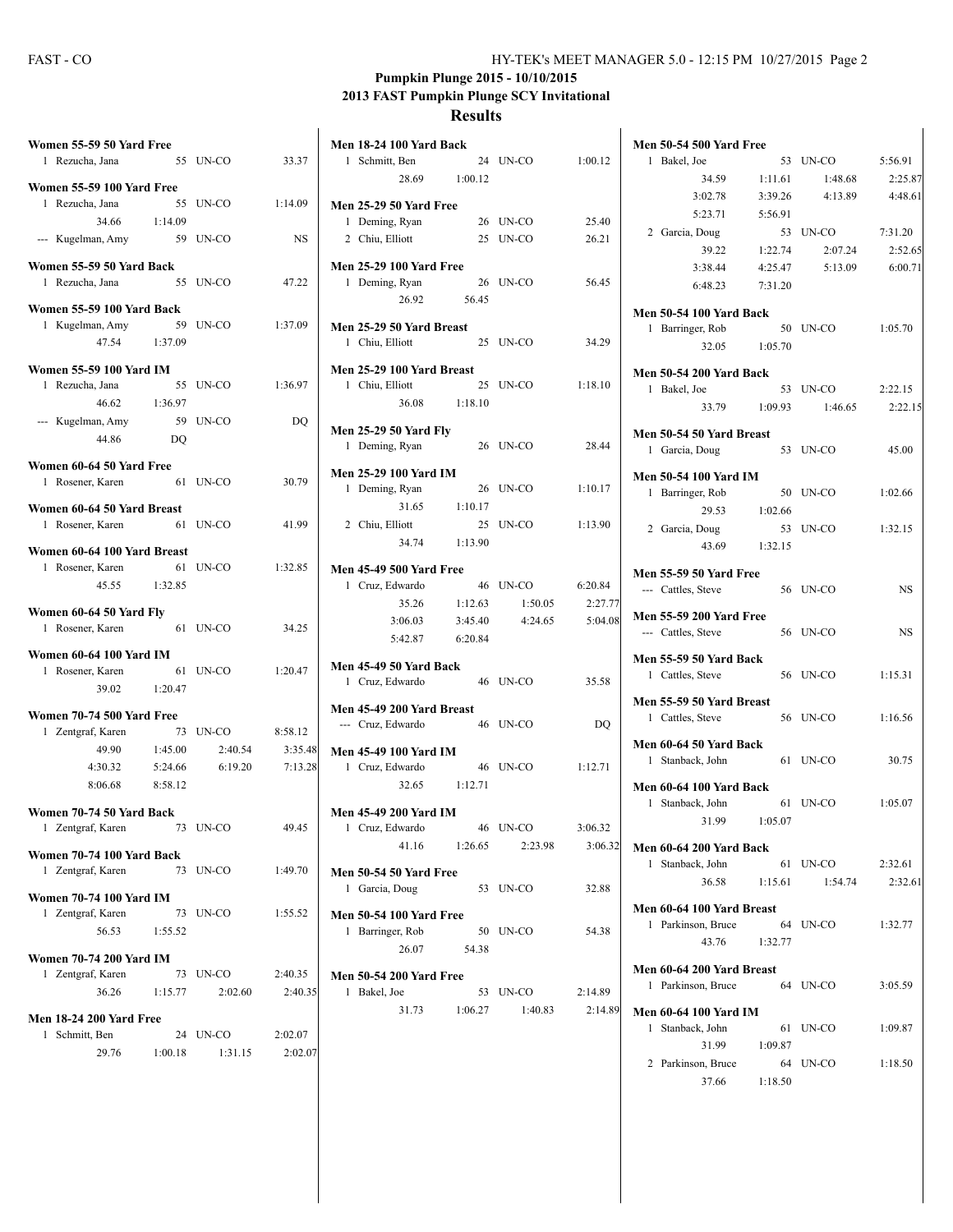## **Pumpkin Plunge 2015 - 10/10/2015 2013 FAST Pumpkin Plunge SCY Invitational**

**Results**

| Women 55-59 50 Yard Free<br>1 Rezucha, Jana            |          | 55 UN-CO                | 33.37              |
|--------------------------------------------------------|----------|-------------------------|--------------------|
|                                                        |          |                         |                    |
| <b>Women 55-59 100 Yard Free</b><br>Rezucha, Jana<br>1 | 55       | UN-CO                   | 1:14.09            |
| 34.66                                                  | 1:14.09  |                         |                    |
|                                                        |          |                         |                    |
| --- Kugelman, Amy                                      | 59 UN-CO |                         | NS                 |
| Women 55-59 50 Yard Back                               |          |                         |                    |
| 1 Rezucha, Jana                                        |          | 55 UN-CO                | 47.22              |
|                                                        |          |                         |                    |
| Women 55-59 100 Yard Back                              | 59       |                         | 1:37.09            |
| 1 Kugelman, Amy<br>47.54 1:37.09                       |          | UN-CO                   |                    |
|                                                        |          |                         |                    |
| Women 55-59 100 Yard IM                                |          |                         |                    |
| 1 Rezucha, Jana                                        | 55       | UN-CO                   | 1:36.97            |
| 46.62 1:36.97                                          |          |                         |                    |
| --- Kugelman, Amy                                      |          | 59 UN-CO                | DQ                 |
| 44.86 DO                                               |          |                         |                    |
|                                                        |          |                         |                    |
| Women 60-64 50 Yard Free                               |          |                         |                    |
| Rosener, Karen<br>1                                    |          | 61 UN-CO                | 30.79              |
| Women 60-64 50 Yard Breast                             |          |                         |                    |
| 1 Rosener, Karen                                       | 61 UN-CO |                         | 41.99              |
|                                                        |          |                         |                    |
| Women 60-64 100 Yard Breast                            |          |                         |                    |
| Rosener, Karen<br>1                                    |          | 61 UN-CO                | 1:32.85            |
| 45.55 1:32.85                                          |          |                         |                    |
|                                                        |          |                         |                    |
|                                                        |          |                         |                    |
| Women 60-64 50 Yard Fly                                |          |                         |                    |
| 1 Rosener, Karen 61 UN-CO                              |          |                         | 34.25              |
| <b>Women 60-64 100 Yard IM</b>                         |          |                         |                    |
|                                                        | 61       | UN-CO                   | 1:20.47            |
| 1 Rosener, Karen<br>39.02                              | 1:20.47  |                         |                    |
|                                                        |          |                         |                    |
| Women 70-74 500 Yard Free                              |          |                         |                    |
| 1 Zentgraf, Karen                                      |          | 73 UN-CO                | 8:58.12            |
| 49.90                                                  | 1:45.00  | 2:40.54                 | 3:35.48            |
|                                                        |          | 4:30.32 5:24.66 6:19.20 | 7:13.28            |
| 8:06.68 8:58.12                                        |          |                         |                    |
|                                                        |          |                         |                    |
| Women 70-74 50 Yard Back                               |          |                         |                    |
| 1 Zentgraf, Karen                                      |          | 73 UN-CO                | 49.45              |
| Women 70-74 100 Yard Back                              |          |                         |                    |
| 1 Zentgraf, Karen                                      |          | 73 UN-CO                | 1:49.70            |
|                                                        |          |                         |                    |
| Women 70-74 100 Yard IM                                |          |                         |                    |
| 1 Zentgraf, Karen                                      |          | 73 UN-CO                | 1:55.52            |
| 56.53 1:55.52                                          |          |                         |                    |
| <b>Women 70-74 200 Yard IM</b>                         |          |                         |                    |
| 1 Zentgraf, Karen                                      |          | 73 UN-CO                | 2:40.35            |
| 36.26                                                  | 1:15.77  | 2:02.60                 | 2:40.35            |
|                                                        |          |                         |                    |
| <b>Men 18-24 200 Yard Free</b>                         |          |                         |                    |
| Schmitt, Ben<br>1<br>29.76                             | 1:00.18  | 24 UN-CO<br>1:31.15     | 2:02.07<br>2:02.07 |

| <b>Men 18-24 100 Yard Back</b>                 |               |                       |         |
|------------------------------------------------|---------------|-----------------------|---------|
| 1 Schmitt, Ben                                 |               | 24 UN-CO              | 1:00.12 |
|                                                | 28.69 1:00.12 |                       |         |
| <b>Men 25-29 50 Yard Free</b>                  |               |                       |         |
| 1 Deming, Ryan                                 |               | 26 UN-CO              | 25.40   |
| 2 Chiu, Elliott                                |               | 25 UN-CO              | 26.21   |
|                                                |               |                       |         |
| <b>Men 25-29 100 Yard Free</b>                 |               |                       |         |
| 1 Deming, Ryan                                 |               | 26 UN-CO              | 56.45   |
| 26.92                                          | 56.45         |                       |         |
| Men 25-29 50 Yard Breast                       |               |                       |         |
| 1 Chiu, Elliott                                |               | 25 UN-CO              | 34.29   |
| Men 25-29 100 Yard Breast                      |               |                       |         |
| 1 Chiu, Elliott                                |               | 25 UN-CO              | 1:18.10 |
|                                                | 36.08 1:18.10 |                       |         |
|                                                |               |                       |         |
| <b>Men 25-29 50 Yard Fly</b><br>1 Deming, Ryan |               | 26 UN-CO              | 28.44   |
|                                                |               |                       |         |
| Men 25-29 100 Yard IM                          |               |                       |         |
| 1 Deming, Ryan                                 | 26            | UN-CO                 | 1:10.17 |
| 31.65                                          | 1:10.17       |                       |         |
| 2 Chiu, Elliott                                |               | 25 UN-CO              | 1:13.90 |
|                                                | 34.74 1:13.90 |                       |         |
| <b>Men 45-49 500 Yard Free</b>                 |               |                       |         |
| 1 Cruz, Edwardo                                |               | 46 UN-CO              | 6:20.84 |
| 35.26                                          | 1:12.63       | 1:50.05               | 2:27.77 |
| 3:06.03                                        | 3:45.40       | 4:24.65               | 5:04.08 |
| 5:42.87 6:20.84                                |               |                       |         |
| Men 45-49 50 Yard Back                         |               |                       |         |
| 1 Cruz, Edwardo                                |               | 46 UN-CO              | 35.58   |
| Men 45-49 200 Yard Breast                      |               |                       |         |
| --- Cruz, Edwardo                              |               | 46 UN-CO              | DQ      |
|                                                |               |                       |         |
| <b>Men 45-49 100 Yard IM</b>                   |               | 46 UN-CO              |         |
| 1 Cruz, Edwardo                                | 32.65 1:12.71 |                       | 1:12.71 |
|                                                |               |                       |         |
| <b>Men 45-49 200 Yard IM</b>                   |               |                       |         |
| 1 Cruz, Edwardo                                |               | 46 UN-CO              | 3:06.32 |
|                                                |               | 41.16 1:26.65 2:23.98 | 3:06.32 |
| Men 50-54 50 Yard Free                         |               |                       |         |
| Garcia, Doug<br>1                              |               | 53 UN-CO              | 32.88   |
| <b>Men 50-54 100 Yard Free</b>                 |               |                       |         |
| Barringer, Rob<br>1                            | 50            | UN-CO                 | 54.38   |
| 26.07                                          | 54.38         |                       |         |
|                                                |               |                       |         |
| <b>Men 50-54 200 Yard Free</b>                 |               |                       |         |
| Bakel, Joe<br>1                                |               | 53 UN-CO              | 2:14.89 |
| 31.73                                          | 1:06.27       | 1:40.83               | 2:14.89 |
|                                                |               |                       |         |

| <b>Men 50-54 500 Yard Free</b>                                |         |                  |           |  |
|---------------------------------------------------------------|---------|------------------|-----------|--|
| 1<br>Bakel, Joe                                               |         | 53 UN-CO         | 5:56.91   |  |
| 34.59                                                         | 1:11.61 | 1:48.68          | 2:25.87   |  |
| 3:02.78                                                       | 3:39.26 | 4:13.89          | 4:48.61   |  |
| 5:23.71                                                       | 5:56.91 |                  |           |  |
| 2 Garcia, Doug                                                |         | 53 UN-CO         | 7:31.20   |  |
| 39.22                                                         | 1:22.74 | 2:07.24          | 2:52.65   |  |
| 3:38.44                                                       | 4:25.47 | 5:13.09          | 6:00.71   |  |
| 6:48.23                                                       | 7:31.20 |                  |           |  |
| <b>Men 50-54 100 Yard Back</b>                                |         |                  |           |  |
| 1 Barringer, Rob                                              | 50      | UN-CO            | 1:05.70   |  |
| 32.05 1:05.70                                                 |         |                  |           |  |
|                                                               |         |                  |           |  |
| <b>Men 50-54 200 Yard Back</b><br>1 Bakel, Joe                | 53      | UN-CO            | 2:22.15   |  |
| 33.79 1:09.93                                                 |         | 1:46.65          | 2:22.15   |  |
|                                                               |         |                  |           |  |
| Men 50-54 50 Yard Breast                                      |         |                  |           |  |
| Garcia, Doug<br>1                                             |         | 53 <b>IJN-CO</b> | 45.00     |  |
| Men 50-54 100 Yard IM                                         |         |                  |           |  |
| 1 Barringer, Rob                                              | 50      | UN-CO            | 1:02.66   |  |
| 29.53                                                         | 1:02.66 |                  |           |  |
| 2 Garcia, Doug                                                | 53      | UN-CO            | 1:32.15   |  |
| 43.69                                                         | 1:32.15 |                  |           |  |
| <b>Men 55-59 50 Yard Free</b>                                 |         |                  |           |  |
| --- Cattles, Steve                                            |         | 56 UN-CO         | <b>NS</b> |  |
|                                                               |         |                  |           |  |
| <b>Men 55-59 200 Yard Free</b>                                |         |                  |           |  |
| --- Cattles, Steve                                            | 56      | UN-CO            | <b>NS</b> |  |
| <b>Men 55-59 50 Yard Back</b>                                 |         |                  |           |  |
| 1 Cattles, Steve                                              | 56      | UN-CO            | 1:15.31   |  |
| <b>Men 55-59 50 Yard Breast</b>                               |         |                  |           |  |
| 1 Cattles, Steve                                              |         | 56 UN-CO         | 1:16.56   |  |
| <b>Men 60-64 50 Yard Back</b>                                 |         |                  |           |  |
| 1 Stanback, John                                              | 61      | <b>UN-CO</b>     | 30.75     |  |
|                                                               |         |                  |           |  |
| <b>Men 60-64 100 Yard Back</b>                                |         |                  |           |  |
| Stanback, John<br>1                                           | 61      | UN-CO            | 1:05.07   |  |
| 31.99                                                         | 1:05.07 |                  |           |  |
| <b>Men 60-64 200 Yard Back</b>                                |         |                  |           |  |
| 1 Stanback, John                                              |         | 61 UN-CO         | 2:32.61   |  |
| 36.58                                                         | 1:15.61 | 1:54.74          | 2:32.61   |  |
| Men 60-64 100 Yard Breast                                     |         |                  |           |  |
| Parkinson, Bruce<br>1.                                        |         | 64 IJN-CO        | 1:32.77   |  |
| 43.76                                                         | 1:32.77 |                  |           |  |
|                                                               |         |                  |           |  |
| Men 60-64 200 Yard Breast<br>$\mathbf{1}$<br>Parkinson, Bruce |         |                  |           |  |
|                                                               |         | 64 UN-CO         | 3:05.59   |  |
| <b>Men 60-64 100 Yard IM</b>                                  |         |                  |           |  |
| Stanback, John<br>1                                           | 61      | UN-CO            | 1:09.87   |  |
| 31.99                                                         | 1:09.87 |                  |           |  |
| 2<br>Parkinson, Bruce                                         | 64      | UN-CO            | 1:18.50   |  |
| 37.66                                                         | 1:18.50 |                  |           |  |